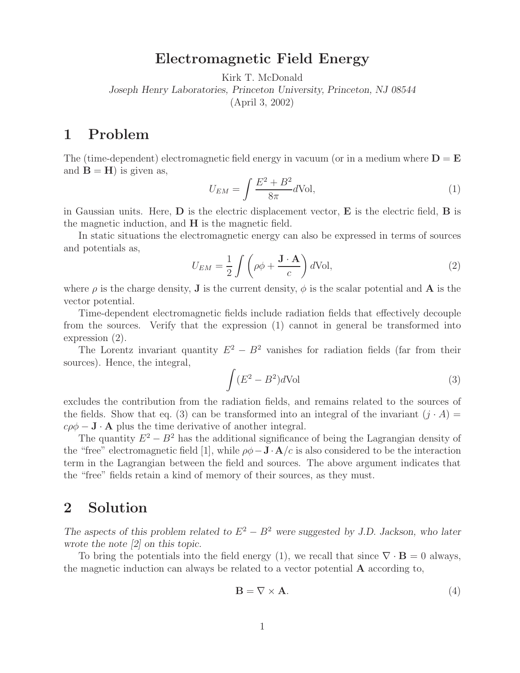## **Electromagnetic Field Energy**

Kirk T. McDonald

*Joseph Henry Laboratories, Princeton University, Princeton, NJ 08544*

(April 3, 2002)

## **1 Problem**

The (time-dependent) electromagnetic field energy in vacuum (or in a medium where  $D = E$ and  $\mathbf{B} = \mathbf{H}$ ) is given as,

$$
U_{EM} = \int \frac{E^2 + B^2}{8\pi} d\text{Vol},\tag{1}
$$

in Gaussian units. Here, **D** is the electric displacement vector, **E** is the electric field, **B** is the magnetic induction, and **H** is the magnetic field.

In static situations the electromagnetic energy can also be expressed in terms of sources and potentials as,

$$
U_{EM} = \frac{1}{2} \int \left( \rho \phi + \frac{\mathbf{J} \cdot \mathbf{A}}{c} \right) d\text{Vol},\tag{2}
$$

where  $\rho$  is the charge density, **J** is the current density,  $\phi$  is the scalar potential and **A** is the vector potential.

Time-dependent electromagnetic fields include radiation fields that effectively decouple from the sources. Verify that the expression (1) cannot in general be transformed into expression (2).

The Lorentz invariant quantity  $E^2 - B^2$  vanishes for radiation fields (far from their sources). Hence, the integral,

$$
\int (E^2 - B^2)d\text{Vol}
$$
 (3)

excludes the contribution from the radiation fields, and remains related to the sources of the fields. Show that eq. (3) can be transformed into an integral of the invariant  $(j \cdot A)$  $c\rho\phi - \mathbf{J} \cdot \mathbf{A}$  plus the time derivative of another integral.

The quantity  $E^2 - B^2$  has the additional significance of being the Lagrangian density of the "free" electromagnetic field [1], while  $\rho\phi - \mathbf{J} \cdot \mathbf{A}/c$  is also considered to be the interaction term in the Lagrangian between the field and sources. The above argument indicates that the "free" fields retain a kind of memory of their sources, as they must.

## **2 Solution**

*The aspects of this problem related to*  $E^2 - B^2$  *were suggested by J.D. Jackson, who later wrote the note [2] on this topic.*

To bring the potentials into the field energy (1), we recall that since  $\nabla \cdot \mathbf{B} = 0$  always, the magnetic induction can always be related to a vector potential **A** according to,

$$
\mathbf{B} = \nabla \times \mathbf{A}.\tag{4}
$$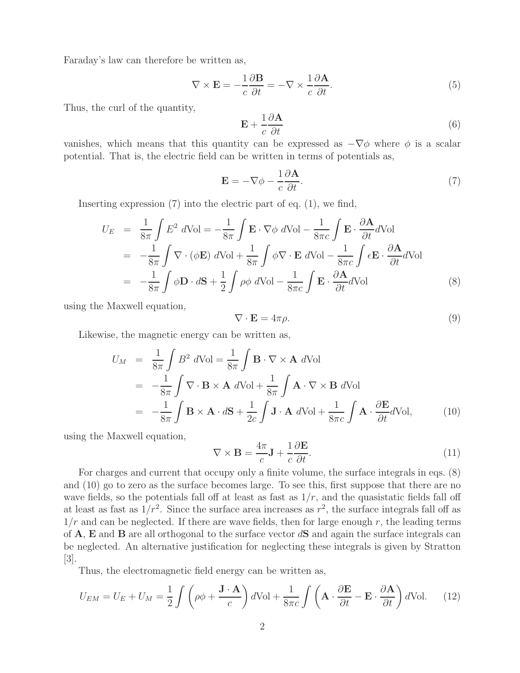Faraday's law can therefore be written as,

$$
\nabla \times \mathbf{E} = -\frac{1}{c} \frac{\partial \mathbf{B}}{\partial t} = -\nabla \times \frac{1}{c} \frac{\partial \mathbf{A}}{\partial t}.
$$
 (5)

Thus, the curl of the quantity,

$$
\mathbf{E} + \frac{1}{c} \frac{\partial \mathbf{A}}{\partial t} \tag{6}
$$

vanishes, which means that this quantity can be expressed as  $-\nabla\phi$  where  $\phi$  is a scalar potential. That is, the electric field can be written in terms of potentials as,

$$
\mathbf{E} = -\nabla \phi - \frac{1}{c} \frac{\partial \mathbf{A}}{\partial t}.
$$
 (7)

Inserting expression (7) into the electric part of eq. (1), we find,

$$
U_E = \frac{1}{8\pi} \int E^2 d\text{Vol} = -\frac{1}{8\pi} \int \mathbf{E} \cdot \nabla \phi \ d\text{Vol} - \frac{1}{8\pi c} \int \mathbf{E} \cdot \frac{\partial \mathbf{A}}{\partial t} d\text{Vol}
$$
  
= 
$$
-\frac{1}{8\pi} \int \nabla \cdot (\phi \mathbf{E}) \ d\text{Vol} + \frac{1}{8\pi} \int \phi \nabla \cdot \mathbf{E} \ d\text{Vol} - \frac{1}{8\pi c} \int \epsilon \mathbf{E} \cdot \frac{\partial \mathbf{A}}{\partial t} d\text{Vol}
$$
  
= 
$$
-\frac{1}{8\pi} \int \phi \mathbf{D} \cdot d\mathbf{S} + \frac{1}{2} \int \rho \phi \ d\text{Vol} - \frac{1}{8\pi c} \int \mathbf{E} \cdot \frac{\partial \mathbf{A}}{\partial t} d\text{Vol}
$$
(8)

using the Maxwell equation,

$$
\nabla \cdot \mathbf{E} = 4\pi \rho. \tag{9}
$$

Likewise, the magnetic energy can be written as,

$$
U_M = \frac{1}{8\pi} \int B^2 dVol = \frac{1}{8\pi} \int \mathbf{B} \cdot \nabla \times \mathbf{A} dVol
$$
  
=  $-\frac{1}{8\pi} \int \nabla \cdot \mathbf{B} \times \mathbf{A} dVol + \frac{1}{8\pi} \int \mathbf{A} \cdot \nabla \times \mathbf{B} dVol$   
=  $-\frac{1}{8\pi} \int \mathbf{B} \times \mathbf{A} \cdot d\mathbf{S} + \frac{1}{2c} \int \mathbf{J} \cdot \mathbf{A} dVol + \frac{1}{8\pi c} \int \mathbf{A} \cdot \frac{\partial \mathbf{E}}{\partial t} dVol,$  (10)

using the Maxwell equation,

$$
\nabla \times \mathbf{B} = \frac{4\pi}{c} \mathbf{J} + \frac{1}{c} \frac{\partial \mathbf{E}}{\partial t}.
$$
 (11)

For charges and current that occupy only a finite volume, the surface integrals in eqs. (8) and (10) go to zero as the surface becomes large. To see this, first suppose that there are no wave fields, so the potentials fall off at least as fast as  $1/r$ , and the quasistatic fields fall off at least as fast as  $1/r^2$ . Since the surface area increases as  $r^2$ , the surface integrals fall off as  $1/r$  and can be neglected. If there are wave fields, then for large enough r, the leading terms of **A**, **E** and **B** are all orthogonal to the surface vector d**S** and again the surface integrals can be neglected. An alternative justification for neglecting these integrals is given by Stratton [3].

Thus, the electromagnetic field energy can be written as,

$$
U_{EM} = U_E + U_M = \frac{1}{2} \int \left( \rho \phi + \frac{\mathbf{J} \cdot \mathbf{A}}{c} \right) d\text{Vol} + \frac{1}{8\pi c} \int \left( \mathbf{A} \cdot \frac{\partial \mathbf{E}}{\partial t} - \mathbf{E} \cdot \frac{\partial \mathbf{A}}{\partial t} \right) d\text{Vol}. \tag{12}
$$